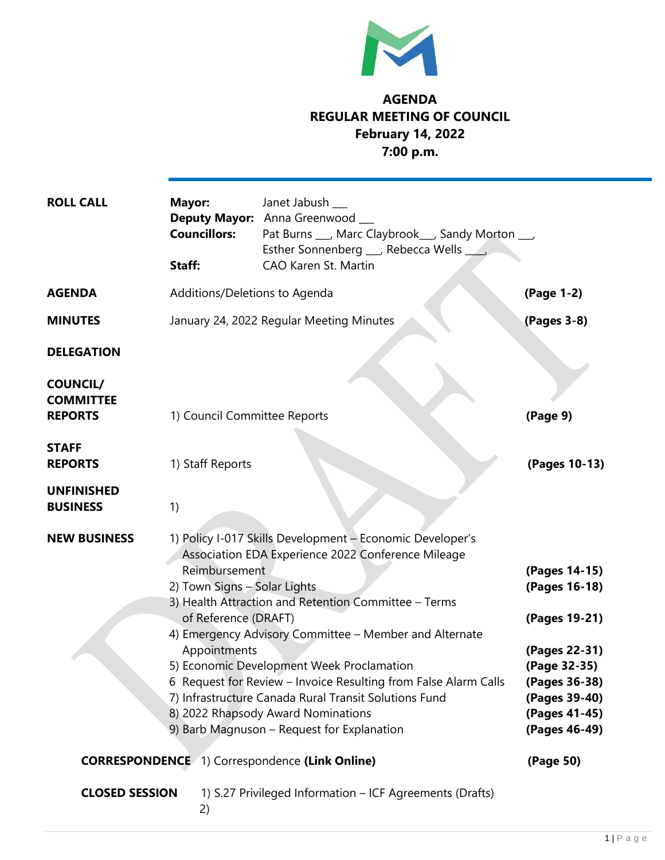

## **AGENDA REGULAR MEETING OF COUNCIL February 14, 2022 7:00 p.m.**

| <b>ROLL CALL</b>                                      | Mayor:<br><b>Councillors:</b><br>Staff:                                                                                                                                                                                                                                                                                                                                                                                                                                                                                                                                                 | Janet Jabush __<br>Deputy Mayor: Anna Greenwood<br>Pat Burns ___, Marc Claybrook___, Sandy Morton ___,<br>Esther Sonnenberg __ Rebecca Wells ____<br>CAO Karen St. Martin |                                                                                                                                                      |
|-------------------------------------------------------|-----------------------------------------------------------------------------------------------------------------------------------------------------------------------------------------------------------------------------------------------------------------------------------------------------------------------------------------------------------------------------------------------------------------------------------------------------------------------------------------------------------------------------------------------------------------------------------------|---------------------------------------------------------------------------------------------------------------------------------------------------------------------------|------------------------------------------------------------------------------------------------------------------------------------------------------|
| <b>AGENDA</b>                                         | Additions/Deletions to Agenda                                                                                                                                                                                                                                                                                                                                                                                                                                                                                                                                                           |                                                                                                                                                                           | (Page 1-2)                                                                                                                                           |
| <b>MINUTES</b>                                        | January 24, 2022 Regular Meeting Minutes                                                                                                                                                                                                                                                                                                                                                                                                                                                                                                                                                |                                                                                                                                                                           | (Pages 3-8)                                                                                                                                          |
| <b>DELEGATION</b>                                     |                                                                                                                                                                                                                                                                                                                                                                                                                                                                                                                                                                                         |                                                                                                                                                                           |                                                                                                                                                      |
| <b>COUNCIL/</b><br><b>COMMITTEE</b><br><b>REPORTS</b> | 1) Council Committee Reports                                                                                                                                                                                                                                                                                                                                                                                                                                                                                                                                                            |                                                                                                                                                                           | (Page 9)                                                                                                                                             |
| <b>STAFF</b><br><b>REPORTS</b>                        | 1) Staff Reports                                                                                                                                                                                                                                                                                                                                                                                                                                                                                                                                                                        |                                                                                                                                                                           | (Pages 10-13)                                                                                                                                        |
| <b>UNFINISHED</b><br><b>BUSINESS</b>                  | 1)                                                                                                                                                                                                                                                                                                                                                                                                                                                                                                                                                                                      |                                                                                                                                                                           |                                                                                                                                                      |
| <b>NEW BUSINESS</b>                                   | 1) Policy I-017 Skills Development - Economic Developer's<br>Association EDA Experience 2022 Conference Mileage<br>Reimbursement<br>2) Town Signs - Solar Lights<br>3) Health Attraction and Retention Committee - Terms<br>of Reference (DRAFT)<br>4) Emergency Advisory Committee - Member and Alternate<br>Appointments<br>5) Economic Development Week Proclamation<br>6 Request for Review - Invoice Resulting from False Alarm Calls<br>7) Infrastructure Canada Rural Transit Solutions Fund<br>8) 2022 Rhapsody Award Nominations<br>9) Barb Magnuson - Request for Explanation |                                                                                                                                                                           | (Pages 14-15)<br>(Pages 16-18)<br>(Pages 19-21)<br>(Pages 22-31)<br>(Page 32-35)<br>(Pages 36-38)<br>(Pages 39-40)<br>(Pages 41-45)<br>(Pages 46-49) |
| <b>CORRESPONDENCE</b> 1) Correspondence (Link Online) |                                                                                                                                                                                                                                                                                                                                                                                                                                                                                                                                                                                         |                                                                                                                                                                           | (Page 50)                                                                                                                                            |
| <b>CLOSED SESSION</b>                                 | 2)                                                                                                                                                                                                                                                                                                                                                                                                                                                                                                                                                                                      | 1) S.27 Privileged Information - ICF Agreements (Drafts)                                                                                                                  |                                                                                                                                                      |